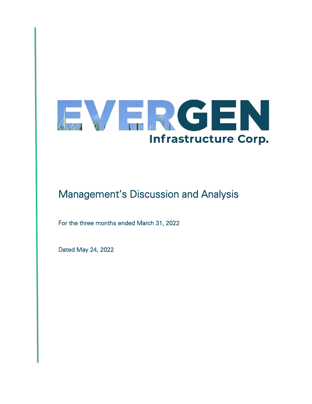

# Management's Discussion and Analysis

For the three months ended March 31, 2022

Dated May 24, 2022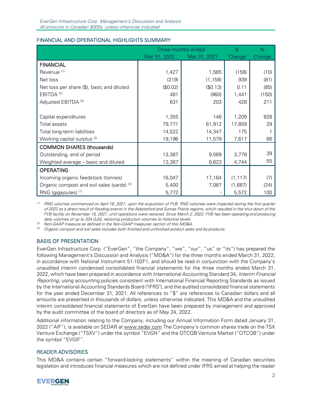# FINANCIAL AND OPERATIONAL HIGHLIGHTS SUMMARY

|                                            |              | Three months ended |          | %      |
|--------------------------------------------|--------------|--------------------|----------|--------|
|                                            | Mar 31, 2022 | Mar 31, 2021       | Change   | Change |
| <b>FINANCIAL</b>                           |              |                    |          |        |
| Revenue <sup>(1)</sup>                     | 1,427        | 1,585              | (158)    | (10)   |
| Net loss                                   | (219)        | (1, 158)           | 939      | (81)   |
| Net loss per share (\$), basic and diluted | (\$0.02)     | (\$0.13)           | 0.11     | (85)   |
| EBITDA <sup>(2)</sup>                      | 481          | (960)              | 1,441    | (150)  |
| Adjusted EBITDA <sup>(2)</sup>             | 631          | 203                | 428      | 211    |
|                                            |              |                    |          |        |
| Capital expenditures                       | 1,355        | 146                | 1,209    | 828    |
| <b>Total assets</b>                        | 79,771       | 61,912             | 17,859   | 29     |
| Total long-term liabilities                | 14,522       | 14,347             | 175      |        |
| Working capital surplus <sup>(2)</sup>     | 19,196       | 11,579             | 7,617    | 66     |
| <b>COMMON SHARES (thousands)</b>           |              |                    |          |        |
| Outstanding, end of period                 | 13,367       | 9,589              | 3,778    | 39     |
| Weighted average - basic and diluted       | 13,367       | 8,623              | 4,744    | 55     |
| <b>OPERATING</b>                           |              |                    |          |        |
| Incoming organic feedstock (tonnes)        | 16,047       | 17,164             | (1, 117) | (7)    |
| Organic compost and soil sales (yards) (3) | 5,400        | 7,087              | (1,687)  | (24)   |
| RNG (gigajoules) <sup>(1)</sup>            | 5,772        |                    | 5,572    | 100    |

 $(1)$  RNG volumes commenced on April 16, 2021, upon the acquisition of FVB. RNG volumes were impacted during the first quarter of 2022 as a direct result of flooding events in the Abbotsford and Sumas Prairie regions, which resulted in the shut down of the FVB facility on November 15, 2021, until operations were restored. Since March 2, 2022, FVB has been operating and producing

daily volumes of up to 334 GJ/d, restoring production volumes to historical levels.<br>(2) Non-GAAP measure as defined in the Non-GAAP measures section of this MD&A.

Organic compost and soil sales includes both finished and unfinished product sales and by-products.

# BASIS OF PRESENTATION

EverGen Infrastructure Corp. ("EverGen", "the Company", "we", "our", "us" or "its") has prepared the following Management's Discussion and Analysis ("MD&A") for the three months ended March 31, 2022, in accordance with National Instrument 51-102F1, and should be read in conjunction with the Company's unaudited interim condensed consolidated financial statements for the three months ended March 31, 2022, which have been prepared in accordance with International Accounting Standard 34, Interim Financial Reporting, using accounting policies consistent with International Financial Reporting Standards as issued by the International Accounting Standards Board ("IFRS"), and the audited consolidated financial statements for the year ended December 31, 2021. All references to "\$" are references to Canadian dollars and all amounts are presented in thousands of dollars, unless otherwise indicated. This MD&A and the unaudited interim consolidated financial statements of EverGen have been prepared by management and approved by the audit committee of the board of directors as of May 24, 2022.

Additional information relating to the Company, including our Annual Information Form dated January 31, 2022 ("AIF"), is available on SEDAR at [www.sedar.com](http://www.sedar.com/) The Company's common shares trade on the TSX Venture Exchange ("TSXV") under the symbol "EVGN" and the OTCQB Venture Market ("OTCQB") under the symbol "EVGIF".

# READER ADVISORIES

This MD&A contains certain "forward-looking statements" within the meaning of Canadian securities legislation and introduces financial measures which are not defined under IFRS aimed at helping the reader

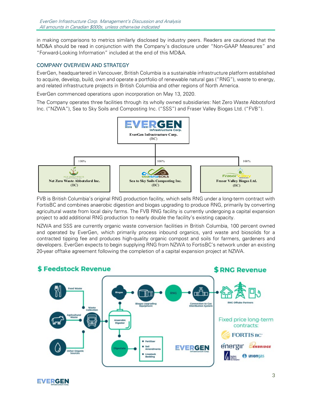in making comparisons to metrics similarly disclosed by industry peers. Readers are cautioned that the MD&A should be read in conjunction with the Company's disclosure under "Non-GAAP Measures" and "Forward-Looking Information" included at the end of this MD&A.

# COMPANY OVERVIEW AND STRATEGY

EverGen, headquartered in Vancouver, British Columbia is a sustainable infrastructure platform established to acquire, develop, build, own and operate a portfolio of renewable natural gas ("RNG"), waste to energy, and related infrastructure projects in British Columbia and other regions of North America.

EverGen commenced operations upon incorporation on May 13, 2020.

The Company operates three facilities through its wholly owned subsidiaries: Net Zero Waste Abbotsford Inc. ("NZWA"), Sea to Sky Soils and Composting Inc. ("SSS") and Fraser Valley Biogas Ltd. ("FVB").



FVB is British Columbia's original RNG production facility, which sells RNG under a long-term contract with FortisBC and combines anaerobic digestion and biogas upgrading to produce RNG, primarily by converting agricultural waste from local dairy farms. The FVB RNG facility is currently undergoing a capital expansion project to add additional RNG production to nearly double the facility's existing capacity.

NZWA and SSS are currently organic waste conversion facilities in British Columbia, 100 percent owned and operated by EverGen, which primarily process inbound organics, yard waste and biosolids for a contracted tipping fee and produces high-quality organic compost and soils for farmers, gardeners and developers. EverGen expects to begin supplying RNG from NZWA to FortisBC's network under an existing 20-year offtake agreement following the completion of a capital expansion project at NZWA.



**EVERGEN**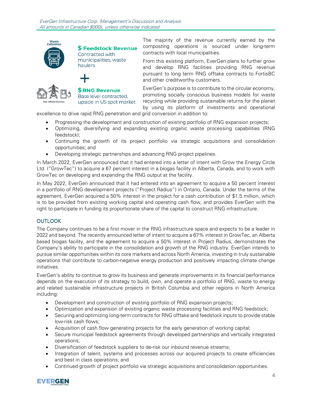

**\$ Feedstock Revenue** Contracted with municipalities, waste haulers



**\$ RNG Revenue** Base level contracted, upside in US spot market The majority of the revenue currently earned by the composting operations is sourced under long-term contracts with local municipalities.

From this existing platform, EverGen plans to further grow and develop RNG facilities providing RNG revenue pursuant to long term RNG offtake contracts to FortisBC and other creditworthy customers.

EverGen's purpose is to contribute to the circular economy, promoting socially conscious business models for waste recycling while providing sustainable returns for the planet by using its platform of investments and operational

excellence to drive rapid RNG penetration and grid conversion in addition to:

- Progressing the development and construction of existing portfolio of RNG expansion projects;
- Optimizing, diversifying and expanding existing organic waste processing capabilities (RNG feedstock);
- Continuing the growth of its project portfolio via strategic acquisitions and consolidation opportunities; and
- Developing strategic partnerships and advancing RNG project pipelines.

In March 2022, EverGen announced that it had entered into a letter of intent with Grow the Energy Circle Ltd. ("GrowTec") to acquire a 67 percent interest in a biogas facility in Alberta, Canada, and to work with GrowTec on developing and expanding the RNG output at the facility.

In May 2022, EverGen announced that it had entered into an agreement to acquire a 50 percent interest in a portfolio of RNG development projects ("Project Radius") in Ontario, Canada. Under the terms of the agreement, EverGen acquired a 50% interest in the project for a cash contribution of \$1.5 million, which is to be provided from existing working capital and operating cash flow, and provides EverGen with the right to participate in funding its proportionate share of the capital to construct RNG infrastructure.

# **OUTLOOK**

The Company continues to be a first mover in the RNG infrastructure space and expects to be a leader in 2022 and beyond. The recently announced letter of intent to acquire a 67% interest in GrowTec, an Alberta based biogas facility, and the agreement to acquire a 50% interest in Project Radius, demonstrates the Company's ability to participate in the consolidation and growth of the RNG industry. EverGen intends to pursue similar opportunities within its core markets and across North America, investing in truly sustainable operations that contribute to carbon-negative energy production and positively impacting climate change initiatives.

EverGen's ability to continue to grow its business and generate improvements in its financial performance depends on the execution of its strategy to build, own, and operate a portfolio of RNG, waste to energy and related sustainable infrastructure projects in British Columbia and other regions in North America including:

- Development and construction of existing portfolio of RNG expansion projects;
- Optimization and expansion of existing organic waste processing facilities and RNG feedstock;
- Securing and optimizing long-term contracts for RNG offtake and feedstock inputs to provide stable low-risk cash flows;
- Acquisition of cash flow generating projects for the early generation of working capital;
- Secure municipal feedstock agreements through developed partnerships and vertically integrated operations;
- Diversification of feedstock suppliers to de-risk our inbound revenue streams;
- Integration of talent, systems and processes across our acquired projects to create efficiencies and best in class operations; and
- Continued growth of project portfolio via strategic acquisitions and consolidation opportunities.

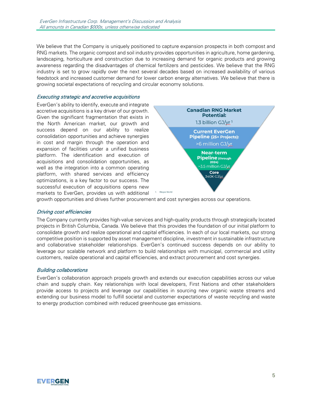We believe that the Company is uniquely positioned to capture expansion prospects in both compost and RNG markets. The organic compost and soil industry provides opportunities in agriculture, home gardening, landscaping, horticulture and construction due to increasing demand for organic products and growing awareness regarding the disadvantages of chemical fertilizers and pesticides. We believe that the RNG industry is set to grow rapidly over the next several decades based on increased availability of various feedstock and increased customer demand for lower carbon energy alternatives. We believe that there is growing societal expectations of recycling and circular economy solutions.

#### Executing strategic and accretive acquisitions

EverGen's ability to identify, execute and integrate accretive acquisitions is a key driver of our growth. Given the significant fragmentation that exists in the North American market, our growth and success depend on our ability to realize consolidation opportunities and achieve synergies in cost and margin through the operation and expansion of facilities under a unified business platform. The identification and execution of acquisitions and consolidation opportunities, as well as the integration into a common operating platform, with shared services and efficiency optimizations, is a key factor to our success. The successful execution of acquisitions opens new markets to EverGen, provides us with additional



growth opportunities and drives further procurement and cost synergies across our operations.

#### Driving cost efficiencies

The Company currently provides high-value services and high-quality products through strategically located projects in British Columbia, Canada. We believe that this provides the foundation of our initial platform to consolidate growth and realize operational and capital efficiencies. In each of our local markets, our strong competitive position is supported by asset management discipline, investment in sustainable infrastructure and collaborative stakeholder relationships. EverGen's continued success depends on our ability to leverage our scalable network and platform to build relationships with municipal, commercial and utility customers, realize operational and capital efficiencies, and extract procurement and cost synergies.

#### Building collaborations

EverGen's collaboration approach propels growth and extends our execution capabilities across our value chain and supply chain. Key relationships with local developers, First Nations and other stakeholders provide access to projects and leverage our capabilities in sourcing new organic waste streams and extending our business model to fulfill societal and customer expectations of waste recycling and waste to energy production combined with reduced greenhouse gas emissions.

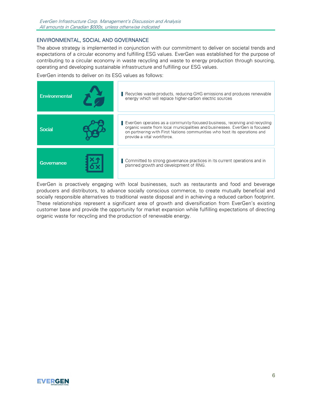# ENVIRONMENTAL, SOCIAL AND GOVERNANCE

The above strategy is implemented in conjunction with our commitment to deliver on societal trends and expectations of a circular economy and fulfilling ESG values. EverGen was established for the purpose of contributing to a circular economy in waste recycling and waste to energy production through sourcing, operating and developing sustainable infrastructure and fulfilling our ESG values.

EverGen intends to deliver on its ESG values as follows:



EverGen is proactively engaging with local businesses, such as restaurants and food and beverage producers and distributors, to advance socially conscious commerce, to create mutually beneficial and socially responsible alternatives to traditional waste disposal and in achieving a reduced carbon footprint. These relationships represent a significant area of growth and diversification from EverGen's existing customer base and provide the opportunity for market expansion while fulfilling expectations of directing organic waste for recycling and the production of renewable energy.

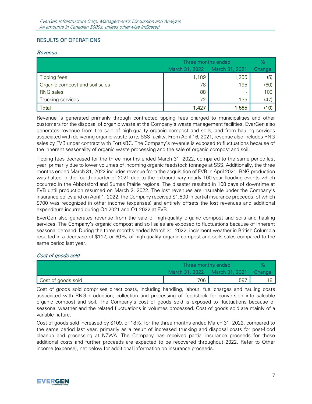# RESULTS OF OPERATIONS

#### **Revenue**

|                                | Three months ended |                | $\%$   |
|--------------------------------|--------------------|----------------|--------|
|                                | March 31, 2022     | March 31, 2021 | Change |
| Tipping fees                   | 1,189              | 1,255          | (5)    |
| Organic compost and soil sales | 78                 | 195            | (60)   |
| <b>RNG</b> sales               | 88                 |                | 100    |
| Trucking services              | 72                 | 135            | (47)   |
| <b>Total</b>                   | 1,427              | 1,585          | (10)   |

Revenue is generated primarily through contracted tipping fees charged to municipalities and other customers for the disposal of organic waste at the Company's waste management facilities. EverGen also generates revenue from the sale of high-quality organic compost and soils, and from hauling services associated with delivering organic waste to its SSS facility. From April 16, 2021, revenue also includes RNG sales by FVB under contract with FortisBC. The Company's revenue is exposed to fluctuations because of the inherent seasonality of organic waste processing and the sale of organic compost and soil.

Tipping fees decreased for the three months ended March 31, 2022, compared to the same period last year, primarily due to lower volumes of incoming organic feedstock tonnage at SSS. Additionally, the three months ended March 31, 2022 includes revenue from the acquisition of FVB in April 2021. RNG production was halted in the fourth quarter of 2021 due to the extraordinary nearly 100-year flooding events which occurred in the Abbotsford and Sumas Prairie regions. The disaster resulted in 108 days of downtime at FVB until production resumed on March 2, 2022. The lost revenues are insurable under the Company's insurance policy and on April 1, 2022, the Company received \$1,500 in partial insurance proceeds, of which \$700 was recognized in other income (expenses) and entirely offsets the lost revenues and additional expenditure incurred during Q4 2021 and Q1 2022 at FVB.

EverGen also generates revenue from the sale of high-quality organic compost and soils and hauling services. The Company's organic compost and soil sales are exposed to fluctuations because of inherent seasonal demand. During the three months ended March 31, 2022, inclement weather in British Columbia resulted in a decrease of \$117, or 60%, of high-quality organic compost and soils sales compared to the same period last year.

# Cost of goods sold

|                    | Three months ended |                                      |  |
|--------------------|--------------------|--------------------------------------|--|
|                    |                    | March 31, 2022 March 31, 2021 Change |  |
| Cost of goods sold | $706$ .            | 597                                  |  |

Cost of goods sold comprises direct costs, including handling, labour, fuel charges and hauling costs associated with RNG production, collection and processing of feedstock for conversion into saleable organic compost and soil. The Company's cost of goods sold is exposed to fluctuations because of seasonal weather and the related fluctuations in volumes processed. Cost of goods sold are mainly of a variable nature.

Cost of goods sold increased by \$109, or 18%, for the three months ended March 31, 2022, compared to the same period last year, primarily as a result of increased trucking and disposal costs for post-flood cleanup and processing at NZWA. The Company has received partial insurance proceeds for these additional costs and further proceeds are expected to be recovered throughout 2022. Refer to Other income (expense), net below for additional information on insurance proceeds.

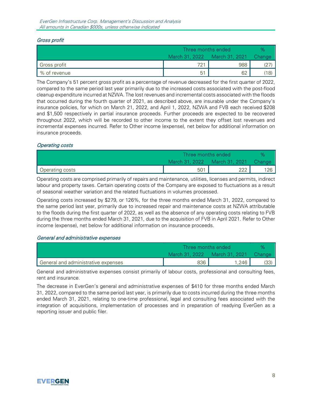# Gross profit

|              | Three months ended            |     |        |
|--------------|-------------------------------|-----|--------|
|              | March 31, 2022 March 31, 2021 |     | Change |
| Gross profit | 721                           | 988 |        |
| % of revenue | 51                            | 62  | (18)   |

The Company's 51 percent gross profit as a percentage of revenue decreased for the first quarter of 2022, compared to the same period last year primarily due to the increased costs associated with the post-flood cleanup expenditure incurred at NZWA. The lost revenues and incremental costs associated with the floods that occurred during the fourth quarter of 2021, as described above, are insurable under the Company's insurance policies, for which on March 21, 2022, and April 1, 2022, NZWA and FVB each received \$208 and \$1,500 respectively in partial insurance proceeds. Further proceeds are expected to be recovered throughout 2022, which will be recorded to other income to the extent they offset lost revenues and incremental expenses incurred. Refer to Other income (expense), net below for additional information on insurance proceeds.

#### Operating costs

|                 | Three months ended |                               |               |
|-----------------|--------------------|-------------------------------|---------------|
|                 |                    | March 31, 2022 March 31, 2021 | <b>Change</b> |
| Operating costs | 501                | າາາ                           | 126           |

Operating costs are comprised primarily of repairs and maintenance, utilities, licenses and permits, indirect labour and property taxes. Certain operating costs of the Company are exposed to fluctuations as a result of seasonal weather variation and the related fluctuations in volumes processed.

Operating costs increased by \$279, or 126%, for the three months ended March 31, 2022, compared to the same period last year, primarily due to increased repair and maintenance costs at NZWA attributable to the floods during the first quarter of 2022, as well as the absence of any operating costs relating to FVB during the three months ended March 31, 2021, due to the acquisition of FVB in April 2021. Refer to Other income (expense), net below for additional information on insurance proceeds.

#### General and administrative expenses

|                                     | Three months ended |                                      |      |
|-------------------------------------|--------------------|--------------------------------------|------|
|                                     |                    | March 31, 2022 March 31, 2021 Change |      |
| General and administrative expenses | 836                | 1,246                                | (33) |

General and administrative expenses consist primarily of labour costs, professional and consulting fees, rent and insurance.

The decrease in EverGen's general and administrative expenses of \$410 for three months ended March 31, 2022, compared to the same period last year, is primarily due to costs incurred during the three months ended March 31, 2021, relating to one-time professional, legal and consulting fees associated with the integration of acquisitions, implementation of processes and in preparation of readying EverGen as a reporting issuer and public filer.

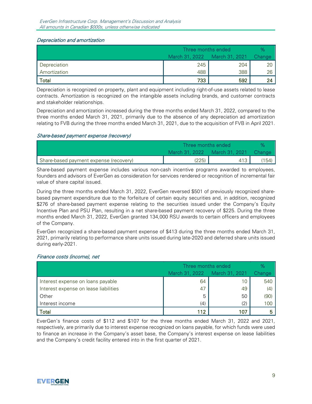### Depreciation and amortization

|              | Three months ended            |     |        |
|--------------|-------------------------------|-----|--------|
|              | March 31, 2022 March 31, 2021 |     | Change |
| Depreciation | 245                           | 204 | 20     |
| Amortization | 488                           | 388 | 26     |
| Total        | 733                           | 592 | 24     |

Depreciation is recognized on property, plant and equipment including right-of-use assets related to lease contracts. Amortization is recognized on the intangible assets including brands, and customer contracts and stakeholder relationships.

Depreciation and amortization increased during the three months ended March 31, 2022, compared to the three months ended March 31, 2021, primarily due to the absence of any depreciation ad amortization relating to FVB during the three months ended March 31, 2021, due to the acquisition of FVB in April 2021.

### Share-based payment expense (recovery)

|                                        | Three months ended |                                      |       |
|----------------------------------------|--------------------|--------------------------------------|-------|
|                                        |                    | March 31, 2022 March 31, 2021 Change |       |
| Share-based payment expense (recovery) | (225)              |                                      | (154) |

Share-based payment expense includes various non-cash incentive programs awarded to employees, founders and advisors of EverGen as consideration for services rendered or recognition of incremental fair value of share capital issued.

During the three months ended March 31, 2022, EverGen reversed \$501 of previously recognized sharebased payment expenditure due to the forfeiture of certain equity securities and, in addition, recognized \$276 of share-based payment expense relating to the securities issued under the Company's Equity Incentive Plan and PSU Plan, resulting in a net share-based payment recovery of \$225. During the three months ended March 31, 2022, EverGen granted 134,000 RSU awards to certain officers and employees of the Company.

EverGen recognized a share-based payment expense of \$413 during the three months ended March 31, 2021, primarily relating to performance share units issued during late-2020 and deferred share units issued during early-2021.

# Finance costs (income), net

|                                       | Three months ended            |     |        |
|---------------------------------------|-------------------------------|-----|--------|
|                                       | March 31, 2022 March 31, 2021 |     | Change |
| Interest expense on loans payable     | 64                            | 10  | 540    |
| Interest expense on lease liabilities | 47                            | 49  | (4)    |
| Other                                 | 5                             | 50  | (90)   |
| Interest income                       | (4)                           | (2) | 100    |
| Total                                 | 112                           | 107 |        |

EverGen's finance costs of \$112 and \$107 for the three months ended March 31, 2022 and 2021, respectively, are primarily due to interest expense recognized on loans payable, for which funds were used to finance an increase in the Company's asset base, the Company's interest expense on lease liabilities and the Company's credit facility entered into in the first quarter of 2021.

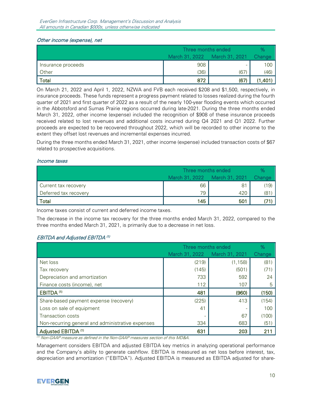### Other income (expense), net

|                    | Three months ended |                |         |
|--------------------|--------------------|----------------|---------|
|                    | March 31, 2022     | March 31, 2021 | Change  |
| Insurance proceeds | 908                |                | 100     |
| Other              | (36)               | (67)           | (46)    |
| Total              | 872                | (67)           | (1,401) |

On March 21, 2022 and April 1, 2022, NZWA and FVB each received \$208 and \$1,500, respectively, in insurance proceeds. These funds represent a progress payment related to losses realized during the fourth quarter of 2021 and first quarter of 2022 as a result of the nearly 100-year flooding events which occurred in the Abbotsford and Sumas Prairie regions occurred during late-2021. During the three months ended March 31, 2022, other income (expense) included the recognition of \$908 of these insurance proceeds received related to lost revenues and additional costs incurred during Q4 2021 and Q1 2022. Further proceeds are expected to be recovered throughout 2022, which will be recorded to other income to the extent they offset lost revenues and incremental expenses incurred.

During the three months ended March 31, 2021, other income (expense) included transaction costs of \$67 related to prospective acquisitions.

### Income taxes

|                       | Three months ended            |     |        |
|-----------------------|-------------------------------|-----|--------|
|                       | March 31, 2022 March 31, 2021 |     | Change |
| Current tax recovery  | 66                            | 81  | (19)   |
| Deferred tax recovery | 79                            | 420 | (81)   |
| Total                 | 145                           | 501 |        |

Income taxes consist of current and deferred income taxes.

The decrease in the income tax recovery for the three months ended March 31, 2022, compared to the three months ended March 31, 2021, is primarily due to a decrease in net loss.

# EBITDA and Adjusted EBITDA (1)

|                                                   | Three months ended            |          | $\%$          |
|---------------------------------------------------|-------------------------------|----------|---------------|
|                                                   | March 31, 2022 March 31, 2021 |          | <b>Change</b> |
| Net loss                                          | (219)                         | (1, 158) | (81)          |
| Tax recovery                                      | (145)                         | (501)    | (71)          |
| Depreciation and amortization                     | 733                           | 592      | 24            |
| Finance costs (income), net                       | 112                           | 107      | 5             |
| EBITDA <sup>(1)</sup>                             | 481                           | (960)    | (150)         |
| Share-based payment expense (recovery)            | (225)                         | 413      | (154)         |
| Loss on sale of equipment                         | 41                            |          | 100           |
| Transaction costs                                 |                               | 67       | (100)         |
| Non-recurring general and administrative expenses | 334                           | 683      | (51)          |
| Adjusted EBITDA <sup>(1)</sup>                    | 631                           | 203      | 211           |

(1) Non-GAAP measure as defined in the Non-GAAP measures section of this MD&A.

Management considers EBITDA and adjusted EBITDA key metrics in analyzing operational performance and the Company's ability to generate cashflow. EBITDA is measured as net loss before interest, tax, depreciation and amortization ("EBITDA"). Adjusted EBITDA is measured as EBITDA adjusted for share-

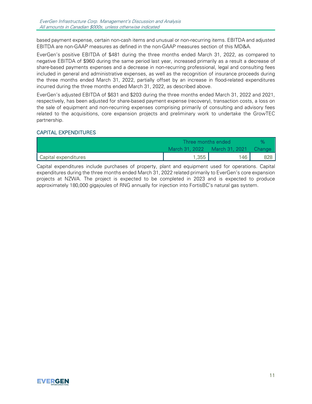based payment expense, certain non-cash items and unusual or non-recurring items. EBITDA and adjusted EBITDA are non-GAAP measures as defined in the non-GAAP measures section of this MD&A.

EverGen's positive EBITDA of \$481 during the three months ended March 31, 2022, as compared to negative EBITDA of \$960 during the same period last year, increased primarily as a result a decrease of share-based payments expenses and a decrease in non-recurring professional, legal and consulting fees included in general and administrative expenses, as well as the recognition of insurance proceeds during the three months ended March 31, 2022, partially offset by an increase in flood-related expenditures incurred during the three months ended March 31, 2022, as described above.

EverGen's adjusted EBITDA of \$631 and \$203 during the three months ended March 31, 2022 and 2021, respectively, has been adjusted for share-based payment expense (recovery), transaction costs, a loss on the sale of equipment and non-recurring expenses comprising primarily of consulting and advisory fees related to the acquisitions, core expansion projects and preliminary work to undertake the GrowTEC partnership.

# CAPITAL EXPENDITURES

|                      | Three months ended            |     |     |  |  |
|----------------------|-------------------------------|-----|-----|--|--|
|                      | March 31, 2022 March 31, 2021 |     |     |  |  |
| Capital expenditures | 1,355                         | 146 | 828 |  |  |

Capital expenditures include purchases of property, plant and equipment used for operations. Capital expenditures during the three months ended March 31, 2022 related primarily to EverGen's core expansion projects at NZWA. The project is expected to be completed in 2023 and is expected to produce approximately 180,000 gigajoules of RNG annually for injection into FortisBC's natural gas system.

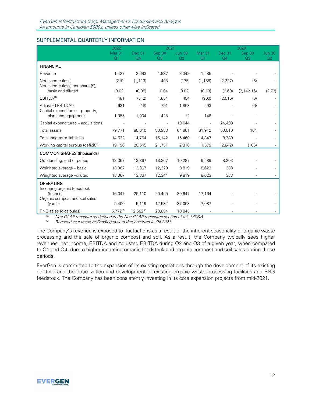# SUPPLEMENTAL QUARTERLY INFORMATION

|                                                                    | 2022              |                | 2021                     |                |                          |          | 2020           |                          |
|--------------------------------------------------------------------|-------------------|----------------|--------------------------|----------------|--------------------------|----------|----------------|--------------------------|
|                                                                    | Mar <sub>31</sub> | <b>Dec 31</b>  | Sep 30                   | <b>Jun 30</b>  | Mar 31                   | Dec 31   | Sep 30         | <b>Jun 30</b>            |
|                                                                    | Q <sub>1</sub>    | Q4             | Q <sub>3</sub>           | Q <sub>2</sub> | Q <sub>1</sub>           | Q4       | Q <sub>3</sub> | Q <sub>2</sub>           |
| <b>FINANCIAL</b>                                                   |                   |                |                          |                |                          |          |                |                          |
| Revenue                                                            | 1,427             | 2,693          | 1,937                    | 3,349          | 1,585                    |          |                |                          |
| Net income (loss)<br>Net income (loss) per share (\$),             | (219)             | (1, 113)       | 493                      | (175)          | (1, 158)                 | (2, 227) | (5)            |                          |
| basic and diluted                                                  | (0.02)            | (0.08)         | 0.04                     | (0.02)         | (0.13)                   | (6.69)   | (2, 142.16)    | (2.73)                   |
| EBITDA <sup>(1)</sup>                                              | 481               | (512)          | 1,854                    | 454            | (960)                    | (2, 515) | (6)            | $\sim$                   |
| Adjusted EBITDA <sup>(1)</sup><br>Capital expenditures - property, | 631               | (18)           | 791                      | 1,863          | 203                      |          | (6)            | $\overline{\phantom{a}}$ |
| plant and equipment                                                | 1,355             | 1,004          | 428                      | 12             | 146                      |          |                |                          |
| Capital expenditures - acquisitions                                |                   |                | $\overline{\phantom{a}}$ | 10,644         | $\overline{\phantom{m}}$ | 24,498   |                | $\overline{\phantom{a}}$ |
| Total assets                                                       | 79,771            | 80,610         | 80,933                   | 64,961         | 61,912                   | 50,510   | 104            |                          |
| Total long-term liabilities                                        | 14,522            | 14,764         | 15,142                   | 15,460         | 14,347                   | 8,780    |                | $\overline{\phantom{a}}$ |
| Working capital surplus (deficit) <sup>(1)</sup>                   | 19,196            | 20,545         | 21,751                   | 2,310          | 11,579                   | (2,842)  | (106)          |                          |
| <b>COMMON SHARES (thousands)</b>                                   |                   |                |                          |                |                          |          |                |                          |
| Outstanding, end of period                                         | 13,367            | 13,367         | 13,367                   | 10,287         | 9,589                    | 8,203    |                |                          |
| Weighted average - basic                                           | 13,367            | 13,367         | 12,229                   | 9,819          | 8,623                    | 333      |                |                          |
| Weighted average -diluted                                          | 13,367            | 13,367         | 12,344                   | 9,819          | 8,623                    | 333      |                |                          |
| <b>OPERATING</b><br>Incoming organic feedstock                     |                   |                |                          |                |                          |          |                |                          |
| (tonnes)<br>Organic compost and soil sales                         | 16,047            | 26,110         | 20,465                   | 30,647         | 17,164                   |          |                |                          |
| (yards)                                                            | 5,400             | 5,119          | 12,532                   | 37,053         | 7,087                    |          |                |                          |
| RNG sales (gigajoules)                                             | $5,772^{(2)}$     | $12,682^{(2)}$ | 23,854                   | 18,845         |                          |          |                |                          |

 $(1)$  Non-GAAP measure as defined in the Non-GAAP measures section of this MD&A.

 $\beta$  Reduced as a result of flooding events that occurred in Q4 2021.

The Company's revenue is exposed to fluctuations as a result of the inherent seasonality of organic waste processing and the sale of organic compost and soil. As a result, the Company typically sees higher revenues, net income, EBITDA and Adjusted EBITDA during Q2 and Q3 of a given year, when compared to Q1 and Q4, due to higher incoming organic feedstock and organic compost and soil sales during these periods.

EverGen is committed to the expansion of its existing operations through the development of its existing portfolio and the optimization and development of existing organic waste processing facilities and RNG feedstock. The Company has been consistently investing in its core expansion projects from mid-2021.

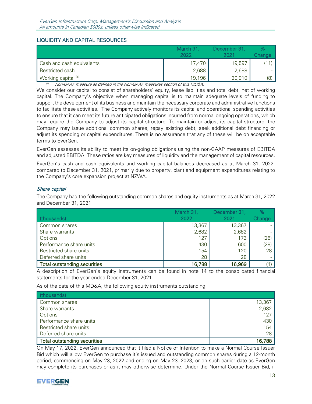# LIQUIDITY AND CAPITAL RESOURCES

|                           | March 31,<br>2022 | December 31,<br>2021 | Change |
|---------------------------|-------------------|----------------------|--------|
| Cash and cash equivalents | 17,470            | 19,597               | (11)   |
| Restricted cash           | 2,688             | 2,688                |        |
| Working capital $(1)$     | 19,196            | 20,910               | (8)    |

 $(1)$  Non-GAAP measure as defined in the Non-GAAP measures section of this MD&A.

We consider our capital to consist of shareholders' equity, lease liabilities and total debt, net of working capital. The Company's objective when managing capital is to maintain adequate levels of funding to support the development of its business and maintain the necessary corporate and administrative functions to facilitate these activities. The Company actively monitors its capital and operational spending activities to ensure that it can meet its future anticipated obligations incurred from normal ongoing operations, which may require the Company to adjust its capital structure. To maintain or adjust its capital structure, the Company may issue additional common shares, repay existing debt, seek additional debt financing or adjust its spending or capital expenditures. There is no assurance that any of these will be on acceptable terms to EverGen.

EverGen assesses its ability to meet its on-going obligations using the non-GAAP measures of EBITDA and adjusted EBITDA. These ratios are key measures of liquidity and the management of capital resources.

EverGen's cash and cash equivalents and working capital balances decreased as at March 31, 2022, compared to December 31, 2021, primarily due to property, plant and equipment expenditures relating to the Company's core expansion project at NZWA.

# Share capital

The Company had the following outstanding common shares and equity instruments as at March 31, 2022 and December 31, 2021:

|                              | March 31, | December 31, |               |
|------------------------------|-----------|--------------|---------------|
| (thousands)                  | 2022      | 2021         | <b>Change</b> |
| Common shares                | 13,367    | 13,367       |               |
| Share warrants               | 2,682     | 2,682        |               |
| Options                      | 127       | 172          | (26)          |
| Performance share units      | 430       | 600          | (28)          |
| Restricted share units       | 154       | 120          | 28            |
| Deferred share units         | 28        | 28           |               |
| Total outstanding securities | 16,788    | 16,969       |               |

A description of EverGen's equity instruments can be found in note 14 to the consolidated financial statements for the year ended December 31, 2021.

As of the date of this MD&A, the following equity instruments outstanding:

| (thousands)                         |        |
|-------------------------------------|--------|
| Common shares                       | 13,367 |
| Share warrants                      | 2,682  |
| Options                             | 127    |
| Performance share units             | 430    |
| Restricted share units              | 154    |
| Deferred share units                | 28     |
| <b>Total outstanding securities</b> | 16,788 |

On May 17, 2022, EverGen announced that it filed a Notice of Intention to make a Normal Course Issuer Bid which will allow EverGen to purchase it's issued and outstanding common shares during a 12-month period, commencing on May 23, 2022 and ending on May 23, 2023, or on such earlier date as EverGen may complete its purchases or as it may otherwise determine. Under the Normal Course Issuer Bid, if

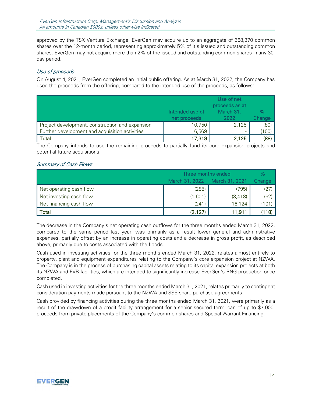approved by the TSX Venture Exchange, EverGen may acquire up to an aggregate of 668,370 common shares over the 12-month period, representing approximately 5% of it's issued and outstanding common shares. EverGen may not acquire more than 2% of the issued and outstanding common shares in any 30 day period.

# Use of proceeds

On August 4, 2021, EverGen completed an initial public offering. As at March 31, 2022, the Company has used the proceeds from the offering, compared to the intended use of the proceeds, as follows:

|                                                 |                                 | Use of net<br>proceeds as at |        |
|-------------------------------------------------|---------------------------------|------------------------------|--------|
|                                                 | Intended use of<br>net proceeds | March 31,<br>2022            | Change |
| Project development, construction and expansion | 10,750                          | 2,125                        | (80)   |
| Further development and acquisition activities  | 6,569                           | -                            | (100)  |
| <b>Total</b>                                    | 17,319                          | 2,125                        | (88)   |

The Company intends to use the remaining proceeds to partially fund its core expansion projects and potential future acquisitions.

# Summary of Cash Flows

|                         | Three months ended |          |       |
|-------------------------|--------------------|----------|-------|
|                         | March 31, 2022     | Change   |       |
| Net operating cash flow | (285)              | (795)    | (27)  |
| Net investing cash flow | (1,601)            | (3, 418) | (62)  |
| Net financing cash flow | (241)              | 16,124   | (101) |
| Total                   | (2, 127)           | (118)    |       |

The decrease in the Company's net operating cash outflows for the three months ended March 31, 2022, compared to the same period last year, was primarily as a result lower general and administrative expenses, partially offset by an increase in operating costs and a decrease in gross profit, as described above, primarily due to costs associated with the floods.

Cash used in investing activities for the three months ended March 31, 2022, relates almost entirely to property, plant and equipment expenditures relating to the Company's core expansion project at NZWA. The Company is in the process of purchasing capital assets relating to its capital expansion projects at both its NZWA and FVB facilities, which are intended to significantly increase EverGen's RNG production once completed.

Cash used in investing activities for the three months ended March 31, 2021, relates primarily to contingent consideration payments made pursuant to the NZWA and SSS share purchase agreements.

Cash provided by financing activities during the three months ended March 31, 2021, were primarily as a result of the drawdown of a credit facility arrangement for a senior secured term loan of up to \$7,000, proceeds from private placements of the Company's common shares and Special Warrant Financing.

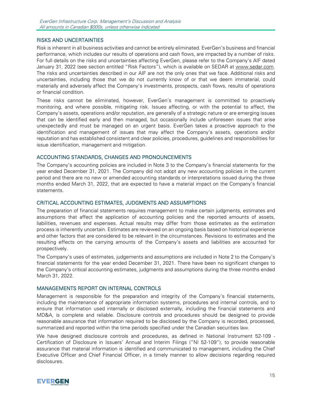# RISKS AND UNCERTAINTIES

Risk is inherent in all business activities and cannot be entirely eliminated. EverGen's business and financial performance, which includes our results of operations and cash flows, are impacted by a number of risks. For full details on the risks and uncertainties affecting EverGen, please refer to the Company's AIF dated January 31, 2022 (see section entitled "Risk Factors"), which is available on SEDAR at [www.sedar.com.](http://www.sedar.com/) The risks and uncertainties described in our AIF are not the only ones that we face. Additional risks and uncertainties, including those that we do not currently know of or that we deem immaterial, could materially and adversely affect the Company's investments, prospects, cash flows, results of operations or financial condition.

These risks cannot be eliminated, however, EverGen's management is committed to proactively monitoring, and where possible, mitigating risk. Issues affecting, or with the potential to affect, the Company's assets, operations and/or reputation, are generally of a strategic nature or are emerging issues that can be identified early and then managed, but occasionally include unforeseen issues that arise unexpectedly and must be managed on an urgent basis. EverGen takes a proactive approach to the identification and management of issues that may affect the Company's assets, operations and/or reputation and has established consistent and clear policies, procedures, guidelines and responsibilities for issue identification, management and mitigation.

### ACCOUNTING STANDARDS, CHANGES AND PRONOUNCEMENTS

The Company's accounting policies are included in Note 3 to the Company's financial statements for the year ended December 31, 2021. The Company did not adopt any new accounting policies in the current period and there are no new or amended accounting standards or interpretations issued during the three months ended March 31, 2022, that are expected to have a material impact on the Company's financial statements.

#### CRITICAL ACCOUNTING ESTIMATES, JUDGMENTS AND ASSUMPTIONS

The preparation of financial statements requires management to make certain judgments, estimates and assumptions that affect the application of accounting policies and the reported amounts of assets, liabilities, revenues and expenses. Actual results may differ from those estimates as the estimation process is inherently uncertain. Estimates are reviewed on an ongoing basis based on historical experience and other factors that are considered to be relevant in the circumstances. Revisions to estimates and the resulting effects on the carrying amounts of the Company's assets and liabilities are accounted for prospectively.

The Company's uses of estimates, judgements and assumptions are included in Note 2 to the Company's financial statements for the year ended December 31, 2021. There have been no significant changes to the Company's critical accounting estimates, judgments and assumptions during the three months ended March 31, 2022.

# MANAGEMENTS REPORT ON INTERNAL CONTROLS

Management is responsible for the preparation and integrity of the Company's financial statements, including the maintenance of appropriate information systems, procedures and internal controls, and to ensure that information used internally or disclosed externally, including the financial statements and MD&A, is complete and reliable. Disclosure controls and procedures should be designed to provide reasonable assurance that information required to be disclosed by the Company is recorded, processed, summarized and reported within the time periods specified under the Canadian securities law.

We have designed disclosure controls and procedures, as defined in National Instrument 52-109 - Certification of Disclosure in Issuers' Annual and Interim Filings ("NI 52-109"), to provide reasonable assurance that material information is identified and communicated to management, including the Chief Executive Officer and Chief Financial Officer, in a timely manner to allow decisions regarding required disclosures.

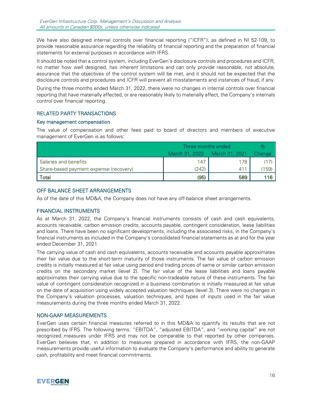We have also designed internal controls over financial reporting ("ICFR"), as defined in NI 52-109, to provide reasonable assurance regarding the reliability of financial reporting and the preparation of financial statements for external purposes in accordance with IFRS.

It should be noted that a control system, including EverGen's disclosure controls and procedures and ICFR, no matter how well designed, has inherent limitations and can only provide reasonable, not absolute, assurance that the objectives of the control system will be met, and it should not be expected that the disclosure controls and procedures and ICFR will prevent all misstatements and instances of fraud, if any.

During the three months ended March 31, 2022, there were no changes in internal controls over financial reporting that have materially affected, or are reasonably likely to materially affect, the Company's internals control over financial reporting.

# RELATED PARTY TRANSACTIONS

### Key management compensation

The value of compensation and other fees paid to board of directors and members of executive management of EverGen is as follows:

|                                        | Three months ended            |     |         |
|----------------------------------------|-------------------------------|-----|---------|
|                                        | March 31, 2022 March 31, 2021 |     | Changel |
| Salaries and benefits                  | 147                           | 178 |         |
| Share-based payment expense (recovery) | (242)                         | 411 | (159)   |
| Total                                  | (95)                          | 116 |         |

# OFF BALANCE SHEET ARRANGEMENTS

As of the date of this MD&A, the Company does not have any off-balance sheet arrangements.

# FINANCIAL INSTRUMENTS

As at March 31, 2022, the Company's financial instruments consists of cash and cash equivalents, accounts receivable, carbon emission credits, accounts payable, contingent consideration, lease liabilities and loans. There have been no significant developments, including the associated risks, in the Company's financial instruments as included in the Company's consolidated financial statements as at and for the year ended December 31, 2021.

The carrying value of cash and cash equivalents, accounts receivable and accounts payable approximates their fair value due to the short-term maturity of those instruments. The fair value of carbon emission credits is initially measured at fair value using period end trading prices of same or similar carbon emission credits on the secondary market (level 2). The fair value of the lease liabilities and loans payable approximates their carrying value due to the specific non-tradeable nature of these instruments. The fair value of contingent consideration recognized in a business combination is initially measured at fair value on the date of acquisition using widely accepted valuation techniques (level 3). There were no changes in the Company's valuation processes, valuation techniques, and types of inputs used in the fair value measurements during the three months ended March 31, 2022.

# NON-GAAP MEASUREMENTS

EverGen uses certain financial measures referred to in this MD&A to quantify its results that are not prescribed by IFRS. The following terms: "EBITDA", "adjusted EBITDA", and "working capital" are not recognized measures under IFRS and may not be comparable to that reported by other companies. EverGen believes that, in addition to measures prepared in accordance with IFRS, the non-GAAP measurements provide useful information to evaluate the Company's performance and ability to generate cash, profitability and meet financial commitments.

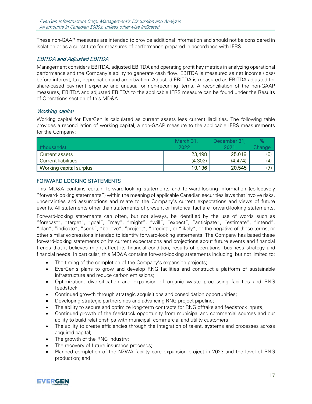These non-GAAP measures are intended to provide additional information and should not be considered in isolation or as a substitute for measures of performance prepared in accordance with IFRS.

# EBITDA and Adjusted EBITDA

Management considers EBITDA, adjusted EBITDA and operating profit key metrics in analyzing operational performance and the Company's ability to generate cash flow. EBITDA is measured as net income (loss) before interest, tax, depreciation and amortization. Adjusted EBITDA is measured as EBITDA adjusted for share-based payment expense and unusual or non-recurring items. A reconciliation of the non-GAAP measures, EBITDA and adjusted EBITDA to the applicable IFRS measure can be found under the Results of Operations section of this MD&A.

# Working capital

Working capital for EverGen is calculated as current assets less current liabilities. The following table provides a reconciliation of working capital, a non-GAAP measure to the applicable IFRS measurements for the Company:

|                            | March 31 | December 31. |        |
|----------------------------|----------|--------------|--------|
| (thousands)                | 2022     |              | Change |
| l Current assets           | 23,498   | 25,019       | (6)    |
| <b>Current liabilities</b> | (4.302)  | (4.474)      | (4)    |
| Working capital surplus    | 19,196   | 20,545       |        |

# FORWARD LOOKING STATEMENTS

This MD&A contains certain forward-looking statements and forward-looking information (collectively "forward-looking statements") within the meaning of applicable Canadian securities laws that involve risks, uncertainties and assumptions and relate to the Company's current expectations and views of future events. All statements other than statements of present or historical fact are forward-looking statements.

Forward-looking statements can often, but not always, be identified by the use of words such as "forecast", "target", "goal", "may", "might", "will", "expect", "anticipate", "estimate", "intend", "plan", "indicate", "seek", "believe", "project", "predict", or "likely", or the negative of these terms, or other similar expressions intended to identify forward-looking statements. The Company has based these forward-looking statements on its current expectations and projections about future events and financial trends that it believes might affect its financial condition, results of operations, business strategy and financial needs. In particular, this MD&A contains forward-looking statements including, but not limited to:

- The timing of the completion of the Company's expansion projects;
- EverGen's plans to grow and develop RNG facilities and construct a platform of sustainable infrastructure and reduce carbon emissions;
- Optimization, diversification and expansion of organic waste processing facilities and RNG feedstock;
- Continued growth through strategic acquisitions and consolidation opportunities;
- Developing strategic partnerships and advancing RNG project pipeline;
- The ability to secure and optimize long-term contracts for RNG offtake and feedstock inputs;
- Continued growth of the feedstock opportunity from municipal and commercial sources and our ability to build relationships with municipal, commercial and utility customers;
- The ability to create efficiencies through the integration of talent, systems and processes across acquired capital;
- The growth of the RNG industry;
- The recovery of future insurance proceeds;
- Planned completion of the NZWA facility core expansion project in 2023 and the level of RNG production; and

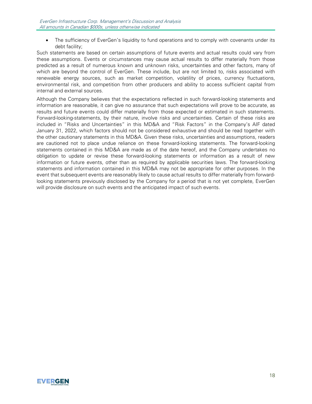• The sufficiency of EverGen's liquidity to fund operations and to comply with covenants under its debt facility;

Such statements are based on certain assumptions of future events and actual results could vary from these assumptions. Events or circumstances may cause actual results to differ materially from those predicted as a result of numerous known and unknown risks, uncertainties and other factors, many of which are beyond the control of EverGen. These include, but are not limited to, risks associated with renewable energy sources, such as market competition, volatility of prices, currency fluctuations, environmental risk, and competition from other producers and ability to access sufficient capital from internal and external sources.

Although the Company believes that the expectations reflected in such forward-looking statements and information are reasonable, it can give no assurance that such expectations will prove to be accurate, as results and future events could differ materially from those expected or estimated in such statements. Forward-looking-statements, by their nature, involve risks and uncertainties. Certain of these risks are included in "Risks and Uncertainties" in this MD&A and "Risk Factors" in the Company's AIF dated January 31, 2022, which factors should not be considered exhaustive and should be read together with the other cautionary statements in this MD&A. Given these risks, uncertainties and assumptions, readers are cautioned not to place undue reliance on these forward-looking statements. The forward-looking statements contained in this MD&A are made as of the date hereof, and the Company undertakes no obligation to update or revise these forward-looking statements or information as a result of new information or future events, other than as required by applicable securities laws. The forward-looking statements and information contained in this MD&A may not be appropriate for other purposes. In the event that subsequent events are reasonably likely to cause actual results to differ materially from forwardlooking statements previously disclosed by the Company for a period that is not yet complete, EverGen will provide disclosure on such events and the anticipated impact of such events.

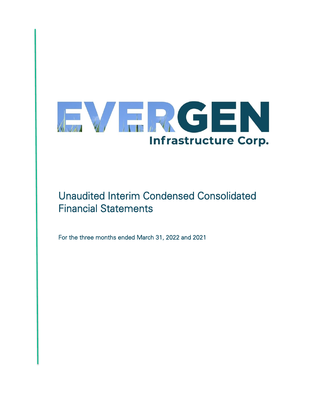

# Unaudited Interim Condensed Consolidated Financial Statements

For the three months ended March 31, 2022 and 2021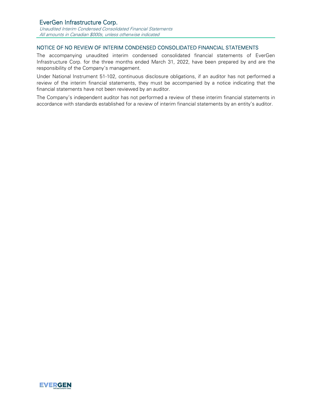Unaudited Interim Condensed Consolidated Financial Statements All amounts in Canadian \$000s, unless otherwise indicated

# NOTICE OF NO REVIEW OF INTERIM CONDENSED CONSOLIDATED FINANCIAL STATEMENTS

The accompanying unaudited interim condensed consolidated financial statements of EverGen Infrastructure Corp. for the three months ended March 31, 2022, have been prepared by and are the responsibility of the Company's management.

Under National Instrument 51-102, continuous disclosure obligations, if an auditor has not performed a review of the interim financial statements, they must be accompanied by a notice indicating that the financial statements have not been reviewed by an auditor.

The Company's independent auditor has not performed a review of these interim financial statements in accordance with standards established for a review of interim financial statements by an entity's auditor.

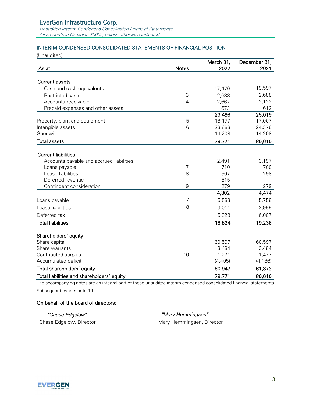Unaudited Interim Condensed Consolidated Financial Statements All amounts in Canadian \$000s, unless otherwise indicated

# INTERIM CONDENSED CONSOLIDATED STATEMENTS OF FINANCIAL POSITION

(Unaudited)

|                                            |                | March 31, | December 31, |
|--------------------------------------------|----------------|-----------|--------------|
| As at                                      | <b>Notes</b>   | 2022      | 2021         |
|                                            |                |           |              |
| <b>Current assets</b>                      |                |           |              |
| Cash and cash equivalents                  |                | 17,470    | 19,597       |
| Restricted cash                            | 3              | 2,688     | 2,688        |
| Accounts receivable                        | $\overline{4}$ | 2,667     | 2,122        |
| Prepaid expenses and other assets          |                | 673       | 612          |
|                                            |                | 23,498    | 25,019       |
| Property, plant and equipment              | 5              | 18,177    | 17,007       |
| Intangible assets                          | 6              | 23,888    | 24,376       |
| Goodwill                                   |                | 14,208    | 14,208       |
| <b>Total assets</b>                        |                | 79,771    | 80,610       |
|                                            |                |           |              |
| <b>Current liabilities</b>                 |                |           |              |
| Accounts payable and accrued liabilities   |                | 2,491     | 3,197        |
| Loans payable                              | $\overline{7}$ | 710       | 700          |
| Lease liabilities                          | 8              | 307       | 298          |
| Deferred revenue                           |                | 515       |              |
| Contingent consideration                   | 9              | 279       | 279          |
|                                            |                | 4,302     | 4,474        |
| Loans payable                              | 7              | 5,583     | 5,758        |
| Lease liabilities                          | 8              | 3,011     | 2,999        |
| Deferred tax                               |                | 5,928     | 6,007        |
| <b>Total liabilities</b>                   |                | 18,824    | 19,238       |
|                                            |                |           |              |
| Shareholders' equity                       |                |           |              |
| Share capital                              |                | 60,597    | 60,597       |
| Share warrants                             |                | 3,484     | 3,484        |
| Contributed surplus                        | 10             | 1,271     | 1,477        |
| Accumulated deficit                        |                | (4, 405)  | (4, 186)     |
| Total shareholders' equity                 |                | 60,947    | 61,372       |
| Total liabilities and shareholders' equity |                | 79,771    | 80,610       |

The accompanying notes are an integral part of these unaudited interim condensed consolidated financial statements. Subsequent events note 19

# On behalf of the board of directors:

*"Chase Edgelow" "Mary Hemmingsen"*

Chase Edgelow, Director **Mary Hemmingsen, Director** Mary Hemmingsen, Director

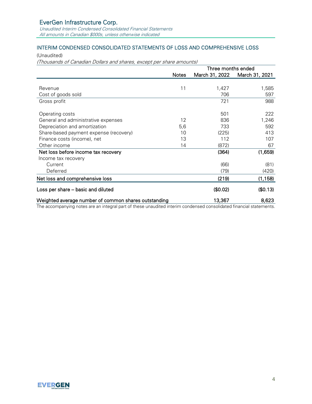Unaudited Interim Condensed Consolidated Financial Statements All amounts in Canadian \$000s, unless otherwise indicated

# INTERIM CONDENSED CONSOLIDATED STATEMENTS OF LOSS AND COMPREHENSIVE LOSS

(Unaudited)

(Thousands of Canadian Dollars and shares, except per share amounts)

|                                                                                                                                                                             |              | Three months ended                 |                           |  |  |  |
|-----------------------------------------------------------------------------------------------------------------------------------------------------------------------------|--------------|------------------------------------|---------------------------|--|--|--|
|                                                                                                                                                                             | <b>Notes</b> | March 31, 2022                     | March 31, 2021            |  |  |  |
|                                                                                                                                                                             |              |                                    |                           |  |  |  |
| Revenue                                                                                                                                                                     | 11           | 1,427                              | 1,585                     |  |  |  |
| Cost of goods sold                                                                                                                                                          |              | 706                                | 597                       |  |  |  |
| Gross profit                                                                                                                                                                |              | 721                                | 988                       |  |  |  |
| Operating costs                                                                                                                                                             |              | 501                                | 222                       |  |  |  |
| General and administrative expenses                                                                                                                                         | 12           | 836                                | 1,246                     |  |  |  |
| Depreciation and amortization                                                                                                                                               | 5,6          | 733                                | 592                       |  |  |  |
| Share-based payment expense (recovery)                                                                                                                                      | 10           | (225)                              | 413                       |  |  |  |
| Finance costs (income), net                                                                                                                                                 | 13           | 112                                | 107                       |  |  |  |
| Other income                                                                                                                                                                | 14           | (872)                              | 67                        |  |  |  |
| Net loss before income tax recovery                                                                                                                                         |              | (364)                              | (1,659)                   |  |  |  |
| Income tax recovery                                                                                                                                                         |              |                                    |                           |  |  |  |
| Current                                                                                                                                                                     |              | (66)                               | (81)                      |  |  |  |
| Deferred                                                                                                                                                                    |              | (79)                               | (420)                     |  |  |  |
| Net loss and comprehensive loss                                                                                                                                             |              | (219)                              | (1, 158)                  |  |  |  |
| Loss per share – basic and diluted                                                                                                                                          |              | (\$0.02)                           | (\$0.13)                  |  |  |  |
| Weighted average number of common shares outstanding<br>the companies of the companies of the companies of the companies of the contract of the contract of the contract of |              | 13,367<br>attended and the company | 8,623<br>المستحدث والمتار |  |  |  |

The accompanying notes are an integral part of these unaudited interim condensed consolidated financial statements.

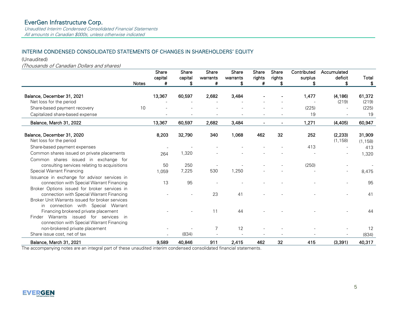Unaudited Interim Condensed Consolidated Financial Statements All amounts in Canadian \$000s, unless otherwise indicated

# INTERIM CONDENSED CONSOLIDATED STATEMENTS OF CHANGES IN SHAREHOLDERS' EQUITY

(Unaudited)

(Thousands of Canadian Dollars and shares)

|                                                 |       | Share<br>capital | Share<br>capital | Share<br>warrants | Share<br>warrants | Share<br>rights | Share<br>rights | Contributed<br>surplus | Accumulated<br>deficit | Total    |
|-------------------------------------------------|-------|------------------|------------------|-------------------|-------------------|-----------------|-----------------|------------------------|------------------------|----------|
|                                                 | Notes | #                | \$               | #                 | S                 | #               | S               | \$.                    | S                      | \$.      |
|                                                 |       |                  |                  |                   |                   |                 |                 |                        |                        |          |
| Balance, December 31, 2021                      |       | 13,367           | 60,597           | 2,682             | 3,484             |                 |                 | 1,477                  | (4, 186)               | 61,372   |
| Net loss for the period                         |       |                  |                  |                   |                   |                 |                 |                        | (219)                  | (219)    |
| Share-based payment recovery                    | 10    |                  |                  |                   |                   |                 |                 | (225)                  |                        | (225)    |
| Capitalized share-based expense                 |       |                  |                  |                   |                   |                 |                 | 19                     |                        | 19       |
| Balance, March 31, 2022                         |       | 13,367           | 60,597           | 2,682             | 3,484             |                 |                 | 1,271                  | (4, 405)               | 60,947   |
| Balance, December 31, 2020                      |       | 8,203            | 32,790           | 340               | 1,068             | 462             | 32              | 252                    | (2, 233)               | 31,909   |
| Net loss for the period                         |       |                  |                  |                   |                   |                 |                 |                        | (1, 158)               | (1, 158) |
| Share-based payment expenses                    |       |                  |                  |                   |                   |                 |                 | 413                    |                        | 413      |
| Common shares issued on private placements      |       | 264              | 1,320            |                   |                   |                 |                 |                        |                        | 1,320    |
| Common shares issued in exchange for            |       |                  |                  |                   |                   |                 |                 |                        |                        |          |
| consulting services relating to acquisitions    |       | 50               | 250              |                   |                   |                 |                 | (250)                  |                        |          |
| <b>Special Warrant Financing</b>                |       | 1,059            | 7,225            | 530               | 1,250             |                 |                 |                        |                        | 8,475    |
| Issuance in exchange for advisor services in    |       |                  |                  |                   |                   |                 |                 |                        |                        |          |
| connection with Special Warrant Financing       |       | 13               | 95               |                   |                   |                 |                 |                        |                        | 95       |
| Broker Options issued for broker services in    |       |                  |                  |                   |                   |                 |                 |                        |                        |          |
| connection with Special Warrant Financing       |       |                  |                  | 23                | 41                |                 |                 |                        |                        | 41       |
| Broker Unit Warrants issued for broker services |       |                  |                  |                   |                   |                 |                 |                        |                        |          |
| in connection with Special Warrant              |       |                  |                  |                   |                   |                 |                 |                        |                        |          |
| Financing brokered private placement            |       |                  |                  | 11                | 44                |                 |                 |                        |                        | 44       |
| Finder Warrants issued for services<br>-in      |       |                  |                  |                   |                   |                 |                 |                        |                        |          |
| connection with Special Warrant Financing       |       |                  |                  |                   |                   |                 |                 |                        |                        |          |
| non-brokered private placement                  |       |                  |                  | $\overline{7}$    | 12                |                 |                 |                        |                        | 12       |
| Share issue cost, net of tax                    |       |                  | (834)            |                   |                   |                 |                 |                        |                        | (834)    |
| Balance, March 31, 2021                         |       | 9,589            | 40,846           | 911               | 2,415             | 462             | 32              | 415                    | (3, 391)               | 40,317   |

The accompanying notes are an integral part of these unaudited interim condensed consolidated financial statements.

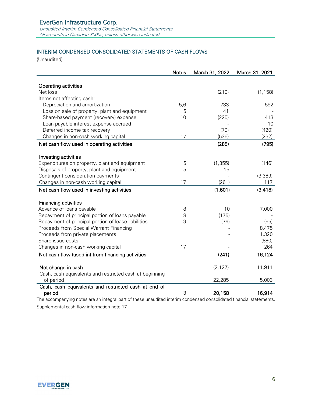Unaudited Interim Condensed Consolidated Financial Statements All amounts in Canadian \$000s, unless otherwise indicated

# INTERIM CONDENSED CONSOLIDATED STATEMENTS OF CASH FLOWS

(Unaudited)

|                                                                          | <b>Notes</b> | March 31, 2022 | March 31, 2021 |
|--------------------------------------------------------------------------|--------------|----------------|----------------|
|                                                                          |              |                |                |
| Operating activities<br>Net loss                                         |              | (219)          | (1, 158)       |
| Items not affecting cash:                                                |              |                |                |
| Depreciation and amortization                                            | 5,6          | 733            | 592            |
| Loss on sale of property, plant and equipment                            | 5            | 41             |                |
| Share-based payment (recovery) expense                                   | 10           | (225)          | 413            |
| Loan payable interest expense accrued                                    |              |                | 10             |
| Deferred income tax recovery                                             |              | (79)           | (420)          |
| Changes in non-cash working capital                                      | 17           | (536)          | (232)          |
| Net cash flow used in operating activities                               |              | (285)          | (795)          |
|                                                                          |              |                |                |
| Investing activities                                                     |              |                |                |
| Expenditures on property, plant and equipment                            | 5            | (1, 355)       | (146)          |
| Disposals of property, plant and equipment                               | 5            | 15             |                |
| Contingent consideration payments<br>Changes in non-cash working capital | 17           | (261)          | (3,389)<br>117 |
|                                                                          |              |                |                |
| Net cash flow used in investing activities                               |              | (1,601)        | (3, 418)       |
| <b>Financing activities</b>                                              |              |                |                |
| Advance of loans payable                                                 | 8            | 10             | 7,000          |
| Repayment of principal portion of loans payable                          | 8            | (175)          |                |
| Repayment of principal portion of lease liabilities                      | 9            | (76)           | (55)           |
| Proceeds from Special Warrant Financing                                  |              |                | 8,475          |
| Proceeds from private placements                                         |              |                | 1,320          |
| Share issue costs                                                        |              |                | (880)          |
| Changes in non-cash working capital                                      | 17           |                | 264            |
| Net cash flow (used in) from financing activities                        |              | (241)          | 16,124         |
|                                                                          |              |                |                |
| Net change in cash                                                       |              | (2, 127)       | 11,911         |
| Cash, cash equivalents and restricted cash at beginning<br>of period     |              | 22,285         | 5,003          |
| Cash, cash equivalents and restricted cash at end of                     |              |                |                |
| period                                                                   | 3            | 20,158         | 16,914         |

The accompanying notes are an integral part of these unaudited interim condensed consolidated financial statements. Supplemental cash flow information note 17

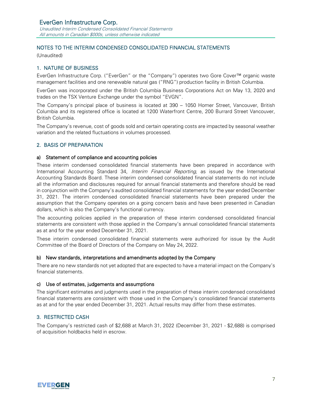Unaudited Interim Condensed Consolidated Financial Statements All amounts in Canadian \$000s, unless otherwise indicated

# NOTES TO THE INTERIM CONDENSED CONSOLIDATED FINANCIAL STATEMENTS

(Unaudited)

# 1. NATURE OF BUSINESS

EverGen Infrastructure Corp. ("EverGen" or the "Company") operates two Gore Cover™ organic waste management facilities and one renewable natural gas ("RNG") production facility in British Columbia.

EverGen was incorporated under the British Columbia Business Corporations Act on May 13, 2020 and trades on the TSX Venture Exchange under the symbol "EVGN".

The Company's principal place of business is located at 390 – 1050 Homer Street, Vancouver, British Columbia and its registered office is located at 1200 Waterfront Centre, 200 Burrard Street Vancouver, British Columbia.

The Company's revenue, cost of goods sold and certain operating costs are impacted by seasonal weather variation and the related fluctuations in volumes processed.

# 2. BASIS OF PREPARATION

#### a) Statement of compliance and accounting policies

These interim condensed consolidated financial statements have been prepared in accordance with International Accounting Standard 34, Interim Financial Reporting, as issued by the International Accounting Standards Board. These interim condensed consolidated financial statements do not include all the information and disclosures required for annual financial statements and therefore should be read in conjunction with the Company's audited consolidated financial statements for the year ended December 31, 2021. The interim condensed consolidated financial statements have been prepared under the assumption that the Company operates on a going concern basis and have been presented in Canadian dollars, which is also the Company's functional currency.

The accounting policies applied in the preparation of these interim condensed consolidated financial statements are consistent with those applied in the Company's annual consolidated financial statements as at and for the year ended December 31, 2021.

These interim condensed consolidated financial statements were authorized for issue by the Audit Committee of the Board of Directors of the Company on May 24, 2022.

#### b) New standards, interpretations and amendments adopted by the Company

There are no new standards not yet adopted that are expected to have a material impact on the Company's financial statements.

#### c) Use of estimates, judgements and assumptions

The significant estimates and judgments used in the preparation of these interim condensed consolidated financial statements are consistent with those used in the Company's consolidated financial statements as at and for the year ended December 31, 2021. Actual results may differ from these estimates.

# 3. RESTRICTED CASH

The Company's restricted cash of \$2,688 at March 31, 2022 (December 31, 2021 - \$2,688) is comprised of acquisition holdbacks held in escrow.

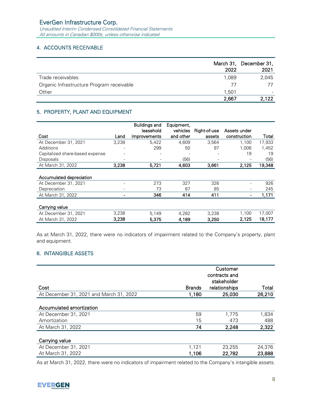Unaudited Interim Condensed Consolidated Financial Statements All amounts in Canadian \$000s, unless otherwise indicated

# 4. ACCOUNTS RECEIVABLE

|                                           | 2022  | March 31, December 31,<br>2021 |
|-------------------------------------------|-------|--------------------------------|
| Trade receivables                         | 1.089 | 2,045                          |
| Organic Infrastructure Program receivable | 77    |                                |
| Other                                     | 1.501 |                                |
|                                           | 2,667 | 2.122                          |

# 5. PROPERTY, PLANT AND EQUIPMENT

|                                 |                          | <b>Buildings and</b> | Equipment, |              |              |        |
|---------------------------------|--------------------------|----------------------|------------|--------------|--------------|--------|
|                                 |                          | leasehold            | vehicles   | Right-of-use | Assets under |        |
| Cost                            | Land                     | improvements         | and other  | assets       | construction | Total  |
| At December 31, 2021            | 3,238                    | 5.422                | 4,609      | 3.564        | 1.100        | 17,933 |
| Additions                       |                          | 299                  | 50         | 97           | 1.006        | 1,452  |
| Capitalized share-based expense |                          |                      |            |              | 19           | 19     |
| <b>Disposals</b>                | $\overline{\phantom{0}}$ |                      | (56)       |              |              | (56)   |
| At March 31, 2022               | 3,238                    | 5,721                | 4,603      | 3,661        | 2,125        | 19,348 |
|                                 |                          |                      |            |              |              |        |
| Accumulated depreciation        |                          |                      |            |              |              |        |
| At December 31, 2021            |                          | 273                  | 327        | 326          |              | 926    |
| Depreciation                    |                          | 73                   | 87         | 85           |              | 245    |
| At March 31, 2022               | -                        | 346                  | 414        | 411          |              | 1,171  |
|                                 |                          |                      |            |              |              |        |
| Carrying value                  |                          |                      |            |              |              |        |
| At December 31, 2021            | 3,238                    | 5,149                | 4,282      | 3,238        | 1,100        | 17,007 |
| At March 31, 2022               | 3,238                    | 5,375                | 4,189      | 3,250        | 2,125        | 18,177 |

As at March 31, 2022, there were no indicators of impairment related to the Company's property, plant and equipment.

# 6. INTANGIBLE ASSETS

| Cost                                    | <b>Brands</b> | Customer<br>contracts and<br>stakeholder<br>relationships | Total  |
|-----------------------------------------|---------------|-----------------------------------------------------------|--------|
| At December 31, 2021 and March 31, 2022 | 1,180         | 25,030                                                    | 26,210 |
| Accumulated amortization                |               |                                                           |        |
| At December 31, 2021                    | 59            | 1.775                                                     | 1,834  |
| Amortization                            | 15            | 473                                                       | 488    |
| At March 31, 2022                       | 74            | 2,248                                                     | 2,322  |
| Carrying value                          |               |                                                           |        |
| At December 31, 2021                    | 1,121         | 23,255                                                    | 24,376 |
| At March 31, 2022                       | 1,106         | 22,782                                                    | 23,888 |

As at March 31, 2022, there were no indicators of impairment related to the Company's intangible assets.

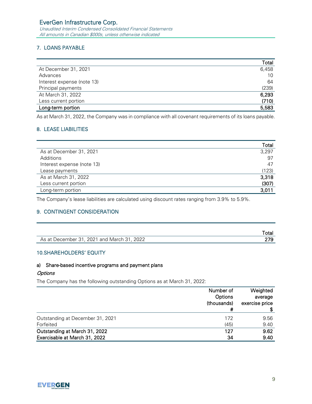Unaudited Interim Condensed Consolidated Financial Statements All amounts in Canadian \$000s, unless otherwise indicated

# 7. LOANS PAYABLE

|                            | Total |
|----------------------------|-------|
| At December 31, 2021       | 6,458 |
| Advances                   | 10    |
| Interest expense (note 13) | 64    |
| Principal payments         | (239) |
| At March 31, 2022          | 6,293 |
| Less current portion       | (710) |
| Long-term portion          | 5,583 |

As at March 31, 2022, the Company was in compliance with all covenant requirements of its loans payable.

# 8. LEASE LIABILITIES

|                            | Total |
|----------------------------|-------|
| As at December 31, 2021    | 3,297 |
| Additions                  | 97    |
| Interest expense (note 13) | 47    |
| Lease payments             | (123) |
| As at March 31, 2022       | 3,318 |
| Less current portion       | (307) |
| Long-term portion          | 3,011 |

The Company's lease liabilities are calculated using discount rates ranging from 3.9% to 5.9%.

# 9. CONTINGENT CONSIDERATION

|                                               | ™otai |
|-----------------------------------------------|-------|
| As at December 31, 2021 and March 31,<br>2022 |       |

# 10.SHAREHOLDERS' EQUITY

# a) Share-based incentive programs and payment plans

# **Options**

The Company has the following outstanding Options as at March 31, 2022:

|                                  | Number of   | Weighted       |
|----------------------------------|-------------|----------------|
|                                  | Options     | average        |
|                                  | (thousands) | exercise price |
|                                  |             |                |
| Outstanding at December 31, 2021 | 172         | 9.56           |
| Forfeited                        | (45)        | 9.40           |
| Outstanding at March 31, 2022    | 127         | 9.62           |
| Exercisable at March 31, 2022    | 34          | 9.40           |

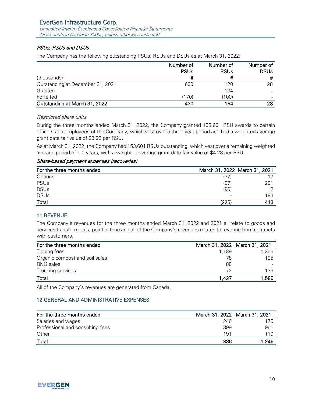Unaudited Interim Condensed Consolidated Financial Statements All amounts in Canadian \$000s, unless otherwise indicated

# PSUs, RSUs and DSUs

The Company has the following outstanding PSUs, RSUs and DSUs as at March 31, 2022:

|                                  | Number of   | Number of   | Number of   |
|----------------------------------|-------------|-------------|-------------|
|                                  | <b>PSUs</b> | <b>RSUs</b> | <b>DSUs</b> |
| (thousands)                      | #           |             |             |
| Outstanding at December 31, 2021 | 600         | 120         | 28          |
| Granted                          |             | 134         |             |
| Forfeited                        | (170)       | (100)       |             |
| Outstanding at March 31, 2022    | 430         | 154         | 28          |

### Restricted share units

During the three months ended March 31, 2022, the Company granted 133,601 RSU awards to certain officers and employees of the Company, which vest over a three-year period and had a weighted average grant date fair value of \$3.92 per RSU.

As at March 31, 2022, the Company had 153,601 RSUs outstanding, which vest over a remaining weighted average period of 1.0 years, with a weighted average grant date fair value of \$4.23 per RSU.

### Share-based payment expenses (recoveries)

| For the three months ended | March 31, 2022 March 31, 2021 |     |
|----------------------------|-------------------------------|-----|
| Options                    | (32)                          |     |
| <b>PSUs</b>                | (97)                          | 201 |
| <b>RSUs</b>                | (96)                          |     |
| <b>DSUs</b>                | $\overline{\phantom{0}}$      | 193 |
| Total                      | (225)                         | 413 |

# 11.REVENUE

The Company's revenues for the three months ended March 31, 2022 and 2021 all relate to goods and services transferred at a point in time and all of the Company's revenues relates to revenue from contracts with customers.

| For the three months ended     | March 31, 2022 March 31, 2021 |       |
|--------------------------------|-------------------------------|-------|
| Tipping fees                   | 1.189                         | 1,255 |
| Organic compost and soil sales | 78                            | 195   |
| RNG sales                      | 88                            |       |
| Trucking services              | 72                            | 135   |
| Total                          | 1.427                         | 1,585 |

All of the Company's revenues are generated from Canada.

# 12.GENERAL AND ADMINISTRATIVE EXPENSES

| For the three months ended       | March 31, 2022 March 31, 2021 |       |
|----------------------------------|-------------------------------|-------|
| Salaries and wages               | 246                           | 175   |
| Professional and consulting fees | 399                           | 961   |
| Other                            | 191                           | 110   |
| Total                            | 836                           | 1,246 |

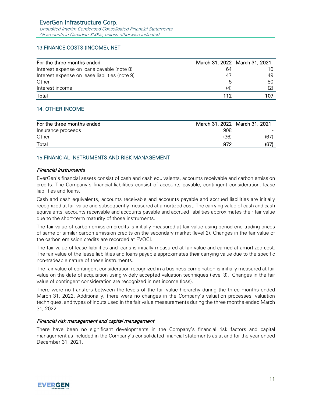Unaudited Interim Condensed Consolidated Financial Statements All amounts in Canadian \$000s, unless otherwise indicated

# 13.FINANCE COSTS (INCOME), NET

| For the three months ended                     | March 31, 2022 March 31, 2021 |     |
|------------------------------------------------|-------------------------------|-----|
| Interest expense on loans payable (note 8)     | 64                            |     |
| Interest expense on lease liabilities (note 9) | 47                            | 49  |
| Other                                          | ხ                             | 50  |
| Interest income                                | (4)                           |     |
| Total                                          | 112                           | 107 |

# 14. OTHER INCOME

| For the three months ended | March 31, 2022 March 31, 2021 |      |
|----------------------------|-------------------------------|------|
| Insurance proceeds         | 908                           |      |
| Other                      | (36)                          | (67) |
| Total                      | 872                           | (67) |

# 15.FINANCIAL INSTRUMENTS AND RISK MANAGEMENT

# Financial instruments

EverGen's financial assets consist of cash and cash equivalents, accounts receivable and carbon emission credits. The Company's financial liabilities consist of accounts payable, contingent consideration, lease liabilities and loans.

Cash and cash equivalents, accounts receivable and accounts payable and accrued liabilities are initially recognized at fair value and subsequently measured at amortized cost. The carrying value of cash and cash equivalents, accounts receivable and accounts payable and accrued liabilities approximates their fair value due to the short-term maturity of those instruments.

The fair value of carbon emission credits is initially measured at fair value using period end trading prices of same or similar carbon emission credits on the secondary market (level 2). Changes in the fair value of the carbon emission credits are recorded at FVOCI.

The fair value of lease liabilities and loans is initially measured at fair value and carried at amortized cost. The fair value of the lease liabilities and loans payable approximates their carrying value due to the specific non-tradeable nature of these instruments.

The fair value of contingent consideration recognized in a business combination is initially measured at fair value on the date of acquisition using widely accepted valuation techniques (level 3). Changes in the fair value of contingent consideration are recognized in net income (loss).

There were no transfers between the levels of the fair value hierarchy during the three months ended March 31, 2022. Additionally, there were no changes in the Company's valuation processes, valuation techniques, and types of inputs used in the fair value measurements during the three months ended March 31, 2022.

# Financial risk management and capital management

There have been no significant developments in the Company's financial risk factors and capital management as included in the Company's consolidated financial statements as at and for the year ended December 31, 2021.

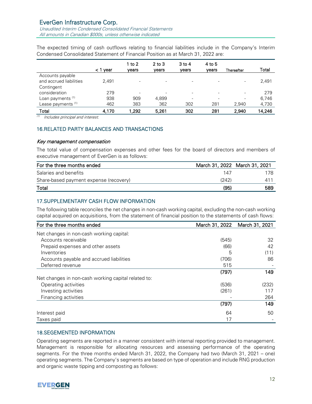Unaudited Interim Condensed Consolidated Financial Statements All amounts in Canadian \$000s, unless otherwise indicated

The expected timing of cash outflows relating to financial liabilities include in the Company's Interim Condensed Consolidated Statement of Financial Position as at March 31, 2022 are:

|                                                           | < 1<br>vear | 1 to 2<br>vears          | $2$ to $3$<br>vears      | 3 to 4<br>vears | 4 to 5<br>vears | Thereafter               | Total  |
|-----------------------------------------------------------|-------------|--------------------------|--------------------------|-----------------|-----------------|--------------------------|--------|
| Accounts payable<br>and accrued liabilities<br>Contingent | 2.491       | $\overline{\phantom{0}}$ |                          |                 |                 | $\overline{\phantom{0}}$ | 2,491  |
| consideration                                             | 279         | $\overline{\phantom{a}}$ | $\overline{\phantom{a}}$ |                 |                 |                          | 279    |
| Loan payments <sup>(1)</sup>                              | 938         | 909                      | 4,899                    |                 |                 |                          | 6.746  |
| Lease payments <sup>(1)</sup>                             | 462         | 383                      | 362                      | 302             | 281             | 2,940                    | 4,730  |
| Total                                                     | 4.170       | 1.292                    | 5,261                    | 302             | 281             | 2,940                    | 14,246 |

 $(1)$  Includes principal and interest.

# 16.RELATED PARTY BALANCES AND TRANSACTIONS

### Key management compensation

The total value of compensation expenses and other fees for the board of directors and members of executive management of EverGen is as follows:

| For the three months ended             | March 31, 2022 March 31, 2021 |     |
|----------------------------------------|-------------------------------|-----|
| Salaries and benefits                  | 147                           | 178 |
| Share-based payment expense (recovery) | (242)                         | 41  |
| Total                                  | (95)                          | 589 |

# 17.SUPPLEMENTARY CASH FLOW INFORMATION

The following table reconciles the net changes in non-cash working capital, excluding the non-cash working capital acquired on acquisitions, from the statement of financial position to the statements of cash flows:

| For the three months ended                          | March 31, 2022 | March 31, 2021 |
|-----------------------------------------------------|----------------|----------------|
| Net changes in non-cash working capital:            |                |                |
| Accounts receivable                                 | (545)          | 32             |
| Prepaid expenses and other assets                   | (66)           | 42             |
| Inventories                                         | 5              | (11)           |
| Accounts payable and accrued liabilities            | (706)          | 86             |
| Deferred revenue                                    | 515            |                |
|                                                     | (797)          | 149            |
| Net changes in non-cash working capital related to: |                |                |
| Operating activities                                | (536)          | (232)          |
| Investing activities                                | (261)          | 117            |
| Financing activities                                |                | 264            |
|                                                     | (797)          | 149            |
| Interest paid                                       | 64             | 50             |
| Taxes paid                                          | 17             |                |

# 18.SEGEMENTED INFORMATION

Operating segments are reported in a manner consistent with internal reporting provided to management. Management is responsible for allocating resources and assessing performance of the operating segments. For the three months ended March 31, 2022, the Company had two (March 31, 2021 – one) operating segments. The Company's segments are based on type of operation and include RNG production and organic waste tipping and composting as follows: